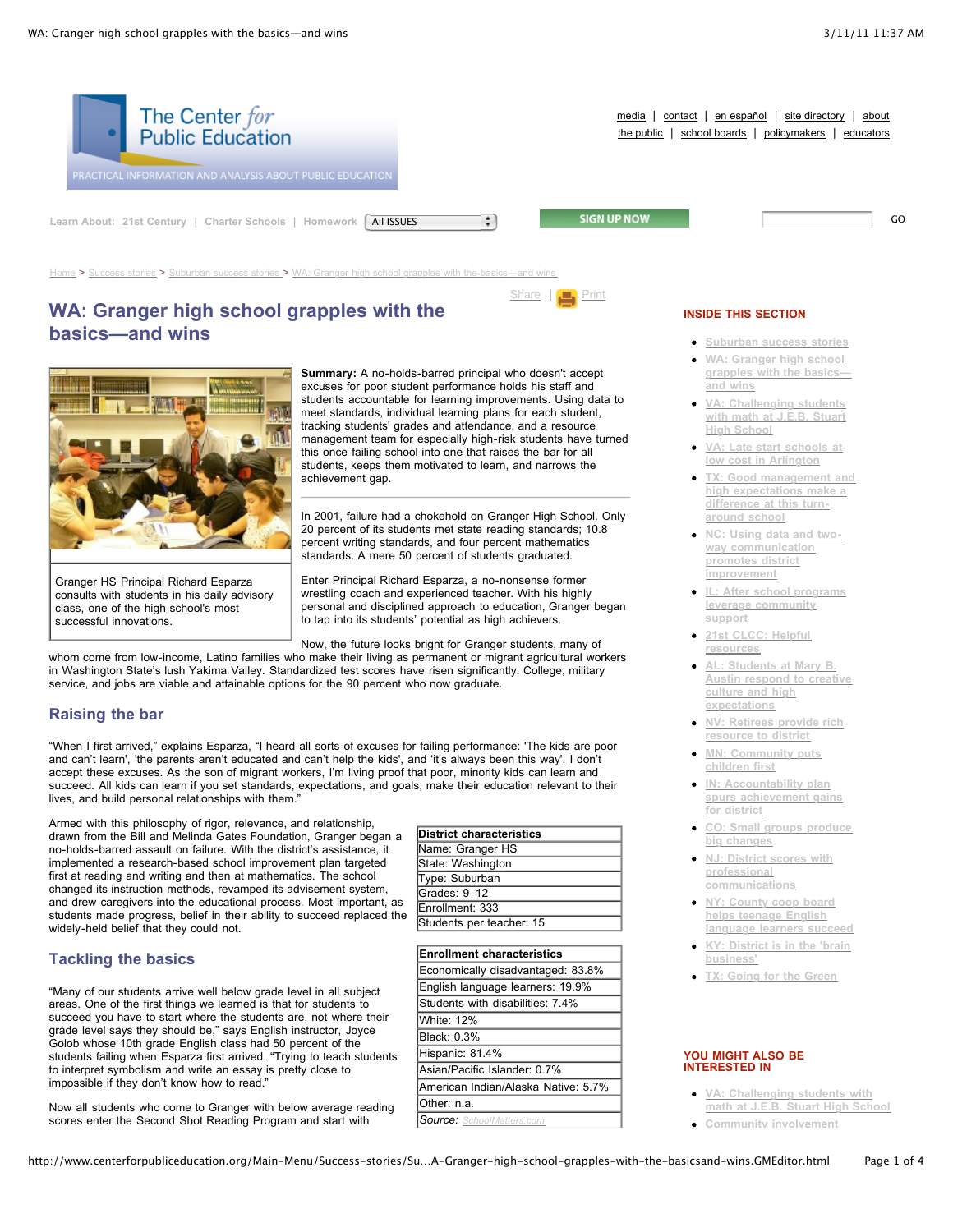

# **WA: Granger high school grapples with the basics—and wins**



Granger HS Principal Richard Esparza consults with students in his daily advisory class, one of the high school's most successful innovations.

**Summary:** A no-holds-barred principal who doesn't accept excuses for poor student performance holds his staff and students accountable for learning improvements. Using data to meet standards, individual learning plans for each student, tracking students' grades and attendance, and a resource management team for especially high-risk students have turned this once failing school into one that raises the bar for all students, keeps them motivated to learn, and narrows the achievement gap.

In 2001, failure had a chokehold on Granger High School. Only 20 percent of its students met state reading standards; 10.8 percent writing standards, and four percent mathematics standards. A mere 50 percent of students graduated.

Enter Principal Richard Esparza, a no-nonsense former wrestling coach and experienced teacher. With his highly personal and disciplined approach to education, Granger began to tap into its students' potential as high achievers.

Now, the future looks bright for Granger students, many of whom come from low-income, Latino families who make their living as permanent or migrant agricultural workers

in Washington State's lush Yakima Valley. Standardized test scores have risen significantly. College, military service, and jobs are viable and attainable options for the 90 percent who now graduate.

# **Raising the bar**

"When I first arrived," explains Esparza, "I heard all sorts of excuses for failing performance: 'The kids are poor and can't learn', 'the parents aren't educated and can't help the kids', and 'it's always been this way'. I don't accept these excuses. As the son of migrant workers, I'm living proof that poor, minority kids can learn and succeed. All kids can learn if you set standards, expectations, and goals, make their education relevant to their lives, and build personal relationships with them."

Armed with this philosophy of rigor, relevance, and relationship, drawn from the Bill and Melinda Gates Foundation, Granger began a no-holds-barred assault on failure. With the district's assistance, it implemented a research-based school improvement plan targeted first at reading and writing and then at mathematics. The school changed its instruction methods, revamped its advisement system, and drew caregivers into the educational process. Most important, as students made progress, belief in their ability to succeed replaced the widely-held belief that they could not.

# **Tackling the basics**

"Many of our students arrive well below grade level in all subject areas. One of the first things we learned is that for students to succeed you have to start where the students are, not where their grade level says they should be," says English instructor, Joyce Golob whose 10th grade English class had 50 percent of the students failing when Esparza first arrived. "Trying to teach students to interpret symbolism and write an essay is pretty close to impossible if they don't know how to read."

Now all students who come to Granger with below average reading scores enter the Second Shot Reading Program and start with

| <b>District characteristics</b> |  |
|---------------------------------|--|
| Name: Granger HS                |  |
| State: Washington               |  |
| Type: Suburban                  |  |
| Grades: 9-12                    |  |
| Enrollment: 333                 |  |
| Students per teacher: 15        |  |

|                 | <b>Enrollment characteristics</b>   |
|-----------------|-------------------------------------|
|                 | Economically disadvantaged: 83.8%   |
|                 | English language learners: 19.9%    |
|                 | Students with disabilities: 7.4%    |
| White: 12%      |                                     |
| Black: 0.3%     |                                     |
| Hispanic: 81.4% |                                     |
|                 | Asian/Pacific Islander: 0.7%        |
|                 | American Indian/Alaska Native: 5.7% |
| Other: n.a.     |                                     |
|                 | Source: SchoolMatters.com           |

- **[Suburban](http://www.centerforpubliceducation.org/Main-Menu/Success-stories/Suburban-success-stories-/default.aspx) success stories**
- **WA: Granger high school [grapples](http://www.centerforpubliceducation.org/Main-Menu/Success-stories/Suburban-success-stories-/WA-Granger-high-school-grapples-with-the-basicsand-wins.html) with the basics and wins**
- **VA: [Challenging](http://www.centerforpubliceducation.org/Main-Menu/Success-stories/Suburban-success-stories-/VA-Challenging-students-with-math-at-JEB-Stuart-High-School.html) students with math at J.E.B. Stuart High School**
- **VA: Late start schools at low cost in [Arlington](http://www.centerforpubliceducation.org/Main-Menu/Success-stories/Suburban-success-stories-/VA-Late-start-schools-at-low-cost-in-Arlington.html)**
- **TX: Good [management](http://www.centerforpubliceducation.org/Main-Menu/Success-stories/Suburban-success-stories-/TX-Good-management-and-high-expectations-make-a-difference-at-this-turn-around-school.html) and high expectations make a difference at this turnaround school**
- **NC: Using data and twoway [communication](http://www.centerforpubliceducation.org/Main-Menu/Success-stories/Suburban-success-stories-/NC-Using-data-and-two-way-communication-promotes-district-improvement.html) promotes district improvement**
- **IL: After school programs leverage [community](http://www.centerforpubliceducation.org/Main-Menu/Success-stories/Suburban-success-stories-/IL-After-school-programs-leverage-community-support.html) support**
- **21st CLCC: Helpful [resources](http://www.centerforpubliceducation.org/Main-Menu/Success-stories/Suburban-success-stories-/21st-CLCC-Helpful-resources.html)**
- **AL: Students at Mary B. Austin respond to creative culture and high [expectations](http://www.centerforpubliceducation.org/Main-Menu/Success-stories/Suburban-success-stories-/AL-Students-at-Mary-B-Austin-respond-to-creative-culture-and-high-expectations.html)**
- **NV: Retirees provide rich [resource](http://www.centerforpubliceducation.org/Main-Menu/Success-stories/Suburban-success-stories-/NV-Retirees-provide-rich-resource-to-district.html) to district**
- **MN: [Community](http://www.centerforpubliceducation.org/Main-Menu/Success-stories/Suburban-success-stories-/MN-Community-puts-children-first.html) puts children first**
- **IN: [Accountability](http://www.centerforpubliceducation.org/Main-Menu/Success-stories/Suburban-success-stories-/IN-Accountability-plan-spurs-achievement-gains-for-district.html) plan spurs achievement gains for district**
- **CO: Small groups produce big [changes](http://www.centerforpubliceducation.org/Main-Menu/Success-stories/Suburban-success-stories-/CO-Small-groups-produce-big-changes.html)**
- **NJ: District scores with professional [communications](http://www.centerforpubliceducation.org/Main-Menu/Success-stories/Suburban-success-stories-/NJ-District-scores-with-professional-communications.html)**
- **NY: County coop board helps teenage English [language](http://www.centerforpubliceducation.org/Main-Menu/Success-stories/Suburban-success-stories-/NY-County-coop-board-helps-teenage-English-language-learners-succeed.html) learners succeed**
- **KY: District is in the 'brain [business'](http://www.centerforpubliceducation.org/Main-Menu/Success-stories/Suburban-success-stories-/KY-District-is-in-the-brain-business.html)**
- **TX: [Going](http://www.centerforpubliceducation.org/Main-Menu/Success-stories/Suburban-success-stories-/TX-Going-for-the-Green.html) for the Green**

#### **YOU MIGHT ALSO BE INTERESTED IN**

- **VA: [Challenging](http://www.centerforpubliceducation.org/Main-Menu/Success-stories/Suburban-success-stories-/VA-Challenging-students-with-math-at-JEB-Stuart-High-School.html) students with math at J.E.B. Stuart High School**
- **Community [involvement](http://www.centerforpubliceducation.org/Main-Menu/Success-stories/Community/default.aspx)**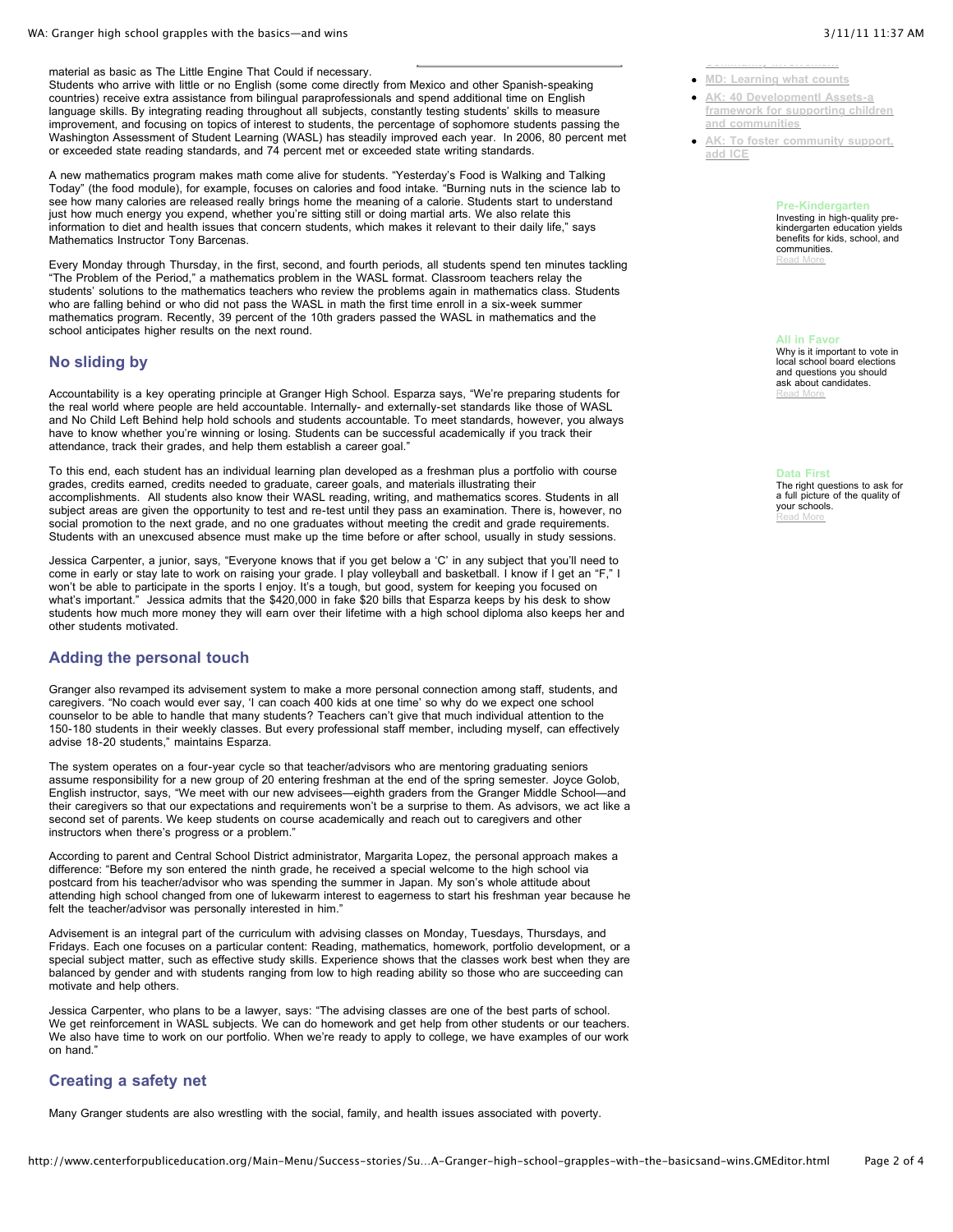material as basic as The Little Engine That Could if necessary.

Students who arrive with little or no English (some come directly from Mexico and other Spanish-speaking countries) receive extra assistance from bilingual paraprofessionals and spend additional time on English language skills. By integrating reading throughout all subjects, constantly testing students' skills to measure improvement, and focusing on topics of interest to students, the percentage of sophomore students passing the Washington Assessment of Student Learning (WASL) has steadily improved each year. In 2006, 80 percent met or exceeded state reading standards, and 74 percent met or exceeded state writing standards.

A new mathematics program makes math come alive for students. "Yesterday's Food is Walking and Talking Today" (the food module), for example, focuses on calories and food intake. "Burning nuts in the science lab to see how many calories are released really brings home the meaning of a calorie. Students start to understand just how much energy you expend, whether you're sitting still or doing martial arts. We also relate this information to diet and health issues that concern students, which makes it relevant to their daily life," says Mathematics Instructor Tony Barcenas.

Every Monday through Thursday, in the first, second, and fourth periods, all students spend ten minutes tackling "The Problem of the Period," a mathematics problem in the WASL format. Classroom teachers relay the students' solutions to the mathematics teachers who review the problems again in mathematics class. Students who are falling behind or who did not pass the WASL in math the first time enroll in a six-week summer mathematics program. Recently, 39 percent of the 10th graders passed the WASL in mathematics and the school anticipates higher results on the next round.

#### **No sliding by**

Accountability is a key operating principle at Granger High School. Esparza says, "We're preparing students for the real world where people are held accountable. Internally- and externally-set standards like those of WASL and No Child Left Behind help hold schools and students accountable. To meet standards, however, you always have to know whether you're winning or losing. Students can be successful academically if you track their attendance, track their grades, and help them establish a career goal."

To this end, each student has an individual learning plan developed as a freshman plus a portfolio with course grades, credits earned, credits needed to graduate, career goals, and materials illustrating their accomplishments. All students also know their WASL reading, writing, and mathematics scores. Students in all subject areas are given the opportunity to test and re-test until they pass an examination. There is, however, no social promotion to the next grade, and no one graduates without meeting the credit and grade requirements. Students with an unexcused absence must make up the time before or after school, usually in study sessions.

Jessica Carpenter, a junior, says, "Everyone knows that if you get below a 'C' in any subject that you'll need to come in early or stay late to work on raising your grade. I play volleyball and basketball. I know if I get an "F," I won't be able to participate in the sports I enjoy. It's a tough, but good, system for keeping you focused on what's important." Jessica admits that the \$420,000 in fake \$20 bills that Esparza keeps by his desk to show students how much more money they will earn over their lifetime with a high school diploma also keeps her and other students motivated.

## **Adding the personal touch**

Granger also revamped its advisement system to make a more personal connection among staff, students, and caregivers. "No coach would ever say, 'I can coach 400 kids at one time' so why do we expect one school counselor to be able to handle that many students? Teachers can't give that much individual attention to the 150-180 students in their weekly classes. But every professional staff member, including myself, can effectively advise 18-20 students," maintains Esparza.

The system operates on a four-year cycle so that teacher/advisors who are mentoring graduating seniors assume responsibility for a new group of 20 entering freshman at the end of the spring semester. Joyce Golob, English instructor, says, "We meet with our new advisees—eighth graders from the Granger Middle School—and their caregivers so that our expectations and requirements won't be a surprise to them. As advisors, we act like a second set of parents. We keep students on course academically and reach out to caregivers and other instructors when there's progress or a problem."

According to parent and Central School District administrator, Margarita Lopez, the personal approach makes a difference: "Before my son entered the ninth grade, he received a special welcome to the high school via postcard from his teacher/advisor who was spending the summer in Japan. My son's whole attitude about attending high school changed from one of lukewarm interest to eagerness to start his freshman year because he felt the teacher/advisor was personally interested in him."

Advisement is an integral part of the curriculum with advising classes on Monday, Tuesdays, Thursdays, and Fridays. Each one focuses on a particular content: Reading, mathematics, homework, portfolio development, or a special subject matter, such as effective study skills. Experience shows that the classes work best when they are balanced by gender and with students ranging from low to high reading ability so those who are succeeding can motivate and help others.

Jessica Carpenter, who plans to be a lawyer, says: "The advising classes are one of the best parts of school. We get reinforcement in WASL subjects. We can do homework and get help from other students or our teachers. We also have time to work on our portfolio. When we're ready to apply to college, we have examples of our work on hand."

#### **Creating a safety net**

Many Granger students are also wrestling with the social, family, and health issues associated with poverty.

- **Community [involvement](http://www.centerforpubliceducation.org/Main-Menu/Success-stories/Community/default.aspx) MD: [Learning](http://www.centerforpubliceducation.org/Main-Menu/Success-stories/Community/MD-Learning-what-counts.html) what counts**
- $\bullet$ **AK: 40 [Developmentl](http://www.centerforpubliceducation.org/Main-Menu/Success-stories/Community/AK-Developmental-Assets-a-framework-for-supporting-children-and-communities.html) Assets-a framework for supporting children and communities**
- **AK: To foster [community](http://www.centerforpubliceducation.org/Main-Menu/Success-stories/Community/AK-To-foster-community-support-add-ICE.html) support, add ICE**

**Pre-Kindergarten** Investing in high-quality prekindergarten education yields benefits for kids, school, and communities. [Read](http://www.centerforpubliceducation.org/Main-Menu/Pre-kindergarten/default.aspx) More

**All in Favor** Why is it important to vote in local school board elections and questions you should ask about candidates. [Read](http://www.centerforpubliceducation.org/Mini-Sites/All-in-Favor/default.aspx) More

**Data First**

The right questions to ask for a full picture of the quality of your schools. [Read](http://www.data-first.org/) More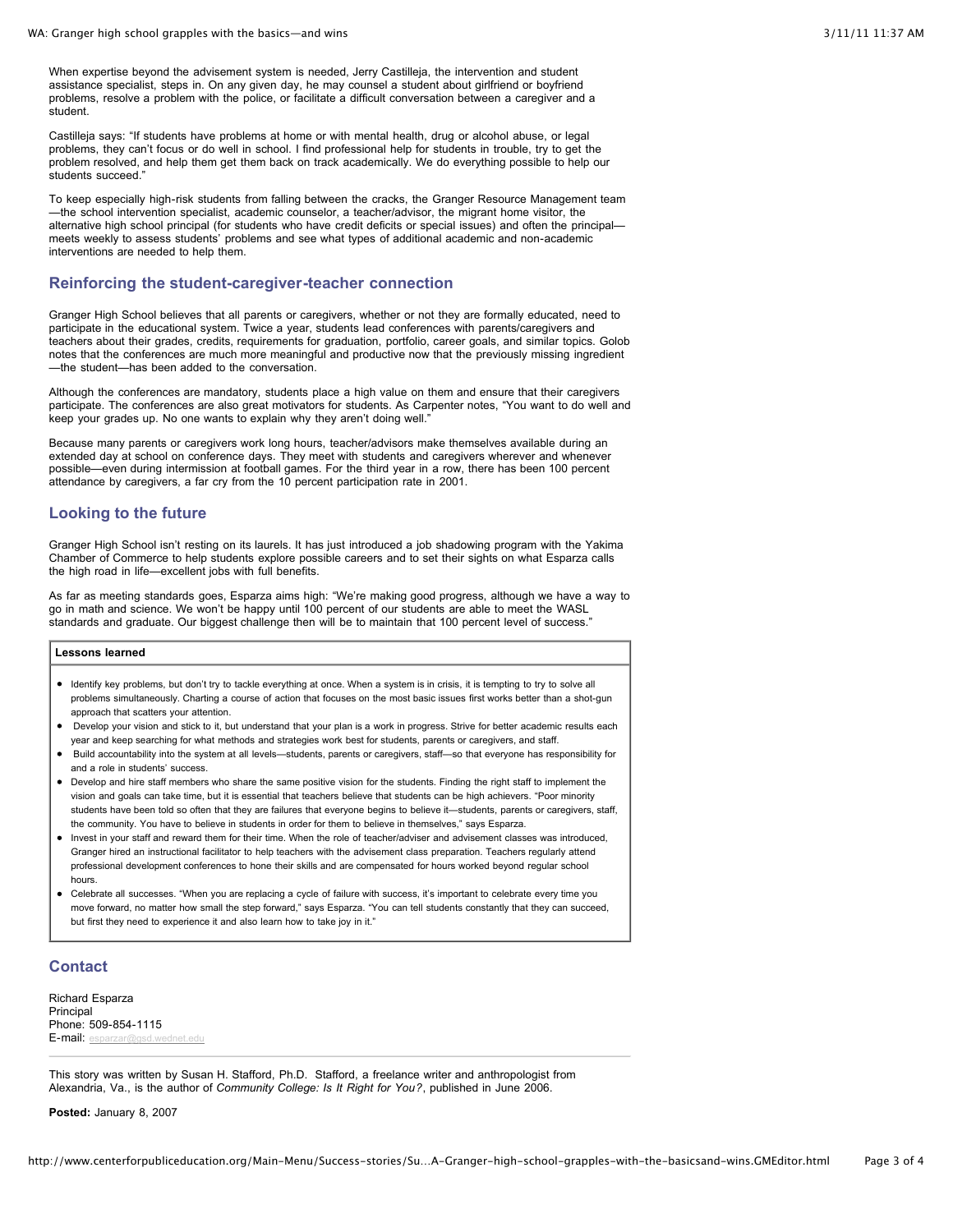When expertise beyond the advisement system is needed, Jerry Castilleja, the intervention and student assistance specialist, steps in. On any given day, he may counsel a student about girlfriend or boyfriend problems, resolve a problem with the police, or facilitate a difficult conversation between a caregiver and a student.

Castilleja says: "If students have problems at home or with mental health, drug or alcohol abuse, or legal problems, they can't focus or do well in school. I find professional help for students in trouble, try to get the problem resolved, and help them get them back on track academically. We do everything possible to help our students succeed."

To keep especially high-risk students from falling between the cracks, the Granger Resource Management team —the school intervention specialist, academic counselor, a teacher/advisor, the migrant home visitor, the alternative high school principal (for students who have credit deficits or special issues) and often the principal meets weekly to assess students' problems and see what types of additional academic and non-academic interventions are needed to help them.

#### **Reinforcing the student-caregiver-teacher connection**

Granger High School believes that all parents or caregivers, whether or not they are formally educated, need to participate in the educational system. Twice a year, students lead conferences with parents/caregivers and teachers about their grades, credits, requirements for graduation, portfolio, career goals, and similar topics. Golob notes that the conferences are much more meaningful and productive now that the previously missing ingredient —the student—has been added to the conversation.

Although the conferences are mandatory, students place a high value on them and ensure that their caregivers participate. The conferences are also great motivators for students. As Carpenter notes, "You want to do well and keep your grades up. No one wants to explain why they aren't doing well."

Because many parents or caregivers work long hours, teacher/advisors make themselves available during an extended day at school on conference days. They meet with students and caregivers wherever and whenever possible—even during intermission at football games. For the third year in a row, there has been 100 percent attendance by caregivers, a far cry from the 10 percent participation rate in 2001.

### **Looking to the future**

Granger High School isn't resting on its laurels. It has just introduced a job shadowing program with the Yakima Chamber of Commerce to help students explore possible careers and to set their sights on what Esparza calls the high road in life—excellent jobs with full benefits.

As far as meeting standards goes, Esparza aims high: "We're making good progress, although we have a way to go in math and science. We won't be happy until 100 percent of our students are able to meet the WASL standards and graduate. Our biggest challenge then will be to maintain that 100 percent level of success."

#### **Lessons learned**

- Identify key problems, but don't try to tackle everything at once. When a system is in crisis, it is tempting to try to solve all problems simultaneously. Charting a course of action that focuses on the most basic issues first works better than a shot-gun approach that scatters your attention.
- Develop your vision and stick to it, but understand that your plan is a work in progress. Strive for better academic results each year and keep searching for what methods and strategies work best for students, parents or caregivers, and staff.
- Build accountability into the system at all levels—students, parents or caregivers, staff—so that everyone has responsibility for and a role in students' success.
- Develop and hire staff members who share the same positive vision for the students. Finding the right staff to implement the vision and goals can take time, but it is essential that teachers believe that students can be high achievers. "Poor minority students have been told so often that they are failures that everyone begins to believe it—students, parents or caregivers, staff, the community. You have to believe in students in order for them to believe in themselves," says Esparza.
- Invest in your staff and reward them for their time. When the role of teacher/adviser and advisement classes was introduced, Granger hired an instructional facilitator to help teachers with the advisement class preparation. Teachers regularly attend professional development conferences to hone their skills and are compensated for hours worked beyond regular school hours.
- Celebrate all successes. "When you are replacing a cycle of failure with success, it's important to celebrate every time you move forward, no matter how small the step forward," says Esparza. "You can tell students constantly that they can succeed, but first they need to experience it and also learn how to take joy in it."

# **Contact**

Richard Esparza Principal Phone: 509-854-1115 E-mail: [esparzar@gsd.wednet.edu](mailto:esparzar@gsd.wednet.edu)

This story was written by Susan H. Stafford, Ph.D. Stafford, a freelance writer and anthropologist from Alexandria, Va., is the author of *Community College: Is It Right for You?*, published in June 2006.

**Posted:** January 8, 2007